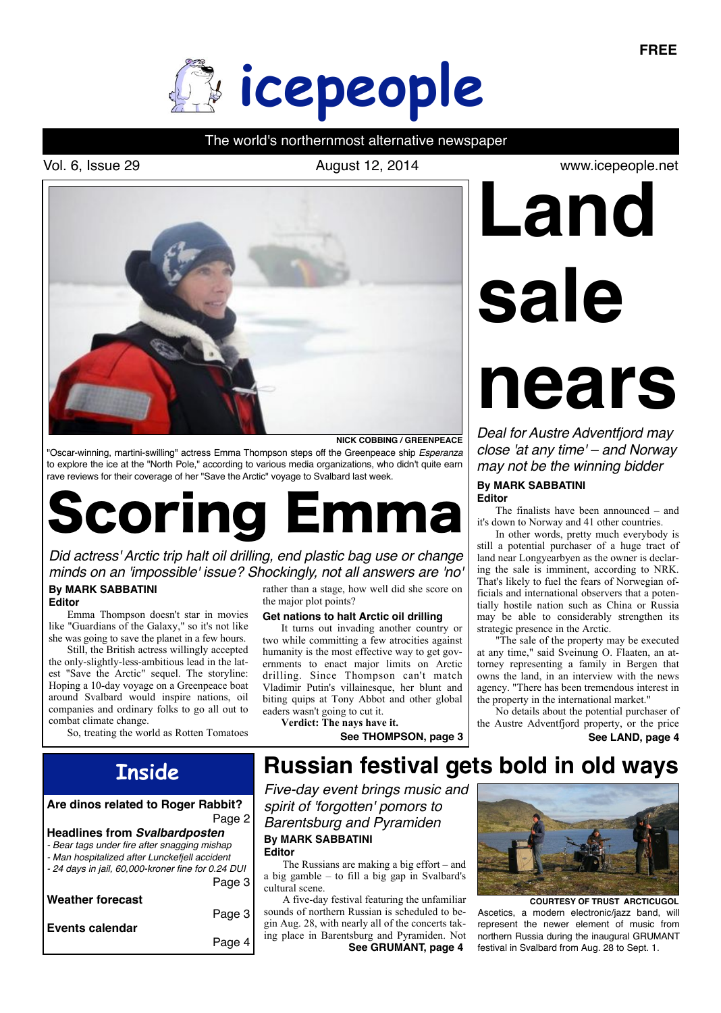

# The world's northernmost alternative newspaper

Vol. 6, Issue 29 **August 12, 2014** 



**NICK COBBING / GREENPEACE**

"Oscar-winning, martini-swilling" actress Emma Thompson steps off the Greenpeace ship *Esperanza*  to explore the ice at the "North Pole," according to various media organizations, who didn't quite earn rave reviews for their coverage of her "Save the Arctic" voyage to Svalbard last week.

# Scoring Emma

*Did actress' Arctic trip halt oil drilling, end plastic bag use or change minds on an 'impossible' issue? Shockingly, not all answers are 'no'* **By MARK SABBATINI** rather than a stage, how well did she score on

#### **Editor**

Emma Thompson doesn't star in movies like "Guardians of the Galaxy," so it's not like she was going to save the planet in a few hours.

Still, the British actress willingly accepted the only-slightly-less-ambitious lead in the latest "Save the Arctic" sequel. The storyline: Hoping a 10-day voyage on a Greenpeace boat around Svalbard would inspire nations, oil companies and ordinary folks to go all out to combat climate change.

So, treating the world as Rotten Tomatoes

the major plot points?

# **Get nations to halt Arctic oil drilling**

It turns out invading another country or two while committing a few atrocities against humanity is the most effective way to get governments to enact major limits on Arctic drilling. Since Thompson can't match Vladimir Putin's villainesque, her blunt and biting quips at Tony Abbot and other global eaders wasn't going to cut it. **Verdict: The nays have it.**

See THOMPSON, page 3 **See LAND**, page 4

# **sale**

**Land** 

www.icepeople.net

# **nears**

*Deal for Austre Adventfjord may close 'at any time' – and Norway may not be the winning bidder*

**By MARK SABBATINI Editor**

The finalists have been announced – and it's down to Norway and 41 other countries.

In other words, pretty much everybody is still a potential purchaser of a huge tract of land near Longyearbyen as the owner is declaring the sale is imminent, according to NRK. That's likely to fuel the fears of Norwegian officials and international observers that a potentially hostile nation such as China or Russia may be able to considerably strengthen its strategic presence in the Arctic.

"The sale of the property may be executed at any time," said Sveinung O. Flaaten, an attorney representing a family in Bergen that owns the land, in an interview with the news agency. "There has been tremendous interest in the property in the international market."

No details about the potential purchaser of the Austre Adventfjord property, or the price

# **Inside**

## **Are dinos related to Roger Rabbit?**  Page 2

#### **Headlines from** *Svalbardposten*

- *Bear tags under fire after snagging mishap*
- *Man hospitalized after Lunckefjell accident*
- *24 days in jail, 60,000-kroner fine for 0.24 DUI* Page 3

| <b>Weather forecast</b> |  |
|-------------------------|--|
|-------------------------|--|

| Events calendar | Page 3 |
|-----------------|--------|
|                 | Page 4 |

# **Russian festival gets bold in old ways**

*Five-day event brings music and spirit of 'forgotten' pomors to Barentsburg and Pyramiden*  **By MARK SABBATINI Editor**

The Russians are making a big effort – and a big gamble – to fill a big gap in Svalbard's cultural scene.

**See GRUMANT, page 4** A five-day festival featuring the unfamiliar sounds of northern Russian is scheduled to begin Aug. 28, with nearly all of the concerts taking place in Barentsburg and Pyramiden. Not



Ascetics, a modern electronic/jazz band, will represent the newer element of music from northern Russia during the inaugural GRUMANT festival in Svalbard from Aug. 28 to Sept. 1. **COURTESY OF TRUST ARCTICUGOL**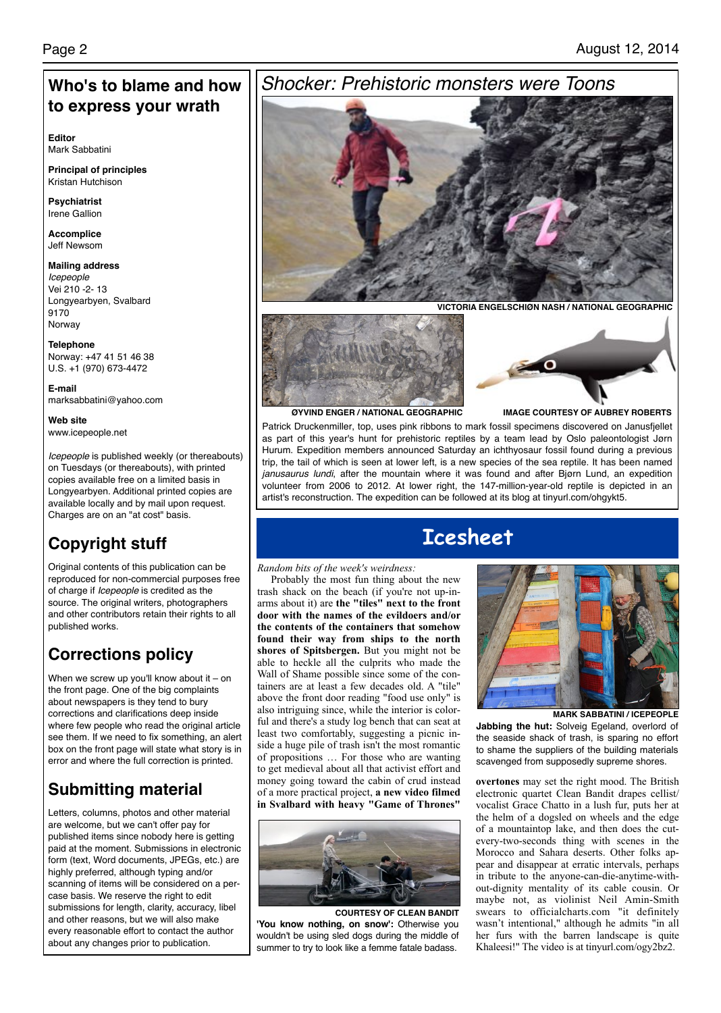# **Who's to blame and how to express your wrath**

**Editor** Mark Sabbatini

**Principal of principles** Kristan Hutchison

**Psychiatrist** Irene Gallion

**Accomplice** Jeff Newsom

**Mailing address** *Icepeople* Vei 210 -2- 13 Longyearbyen, Svalbard 9170 Norway

**Telephone** Norway: +47 41 51 46 38 U.S. +1 (970) 673-4472

**E-mail** marksabbatini@yahoo.com

**Web site** www.icepeople.net

*Icepeople* is published weekly (or thereabouts) on Tuesdays (or thereabouts), with printed copies available free on a limited basis in Longyearbyen. Additional printed copies are available locally and by mail upon request. Charges are on an "at cost" basis.

# **Copyright stuff**

Original contents of this publication can be reproduced for non-commercial purposes free of charge if *Icepeople* is credited as the source. The original writers, photographers and other contributors retain their rights to all published works.

# **Corrections policy**

When we screw up you'll know about it  $-$  on the front page. One of the big complaints about newspapers is they tend to bury corrections and clarifications deep inside where few people who read the original article see them. If we need to fix something, an alert box on the front page will state what story is in error and where the full correction is printed.

# **Submitting material**

Letters, columns, photos and other material are welcome, but we can't offer pay for published items since nobody here is getting paid at the moment. Submissions in electronic form (text, Word documents, JPEGs, etc.) are highly preferred, although typing and/or scanning of items will be considered on a percase basis. We reserve the right to edit submissions for length, clarity, accuracy, libel and other reasons, but we will also make every reasonable effort to contact the author about any changes prior to publication.

# *Shocker: Prehistoric monsters were Toons*



**VICTORIA ENGELSCHIØN NASH / NATIONAL GEOGRAPHIC**



**IMAGE COURTESY OF AUBREY ROBERTS**

**ØYVIND ENGER / NATIONAL GEOGRAPHIC**

Patrick Druckenmiller, top, uses pink ribbons to mark fossil specimens discovered on Janusfjellet as part of this year's hunt for prehistoric reptiles by a team lead by Oslo paleontologist Jørn Hurum. Expedition members announced Saturday an ichthyosaur fossil found during a previous trip, the tail of which is seen at lower left, is a new species of the sea reptile. It has been named *janusaurus lundi*, after the mountain where it was found and after Bjørn Lund, an expedition volunteer from 2006 to 2012. At lower right, the 147-million-year-old reptile is depicted in an artist's reconstruction. The expedition can be followed at its blog at tinyurl.com/ohgykt5.

# **Icesheet**

# *Random bits of the week's weirdness:*

Probably the most fun thing about the new trash shack on the beach (if you're not up-inarms about it) are **the "tiles" next to the front door with the names of the evildoers and/or the contents of the containers that somehow found their way from ships to the north shores of Spitsbergen.** But you might not be able to heckle all the culprits who made the Wall of Shame possible since some of the containers are at least a few decades old. A "tile" above the front door reading "food use only" is also intriguing since, while the interior is colorful and there's a study log bench that can seat at least two comfortably, suggesting a picnic inside a huge pile of trash isn't the most romantic of propositions … For those who are wanting to get medieval about all that activist effort and money going toward the cabin of crud instead of a more practical project, **a new video filmed in Svalbard with heavy "Game of Thrones"** 



**COURTESY OF CLEAN BANDIT 'You know nothing, on snow':** Otherwise you wouldn't be using sled dogs during the middle of summer to try to look like a femme fatale badass.



**MARK SABBATINI / ICEPEOPLE Jabbing the hut:** Solveig Egeland, overlord of the seaside shack of trash, is sparing no effort to shame the suppliers of the building materials scavenged from supposedly supreme shores.

**overtones** may set the right mood. The British electronic quartet Clean Bandit drapes cellist/ vocalist Grace Chatto in a lush fur, puts her at the helm of a dogsled on wheels and the edge of a mountaintop lake, and then does the cutevery-two-seconds thing with scenes in the Morocco and Sahara deserts. Other folks appear and disappear at erratic intervals, perhaps in tribute to the anyone-can-die-anytime-without-dignity mentality of its cable cousin. Or maybe not, as violinist Neil Amin-Smith swears to officialcharts.com "it definitely wasn't intentional," although he admits "in all her furs with the barren landscape is quite Khaleesi!" The video is at tinyurl.com/ogy2bz2.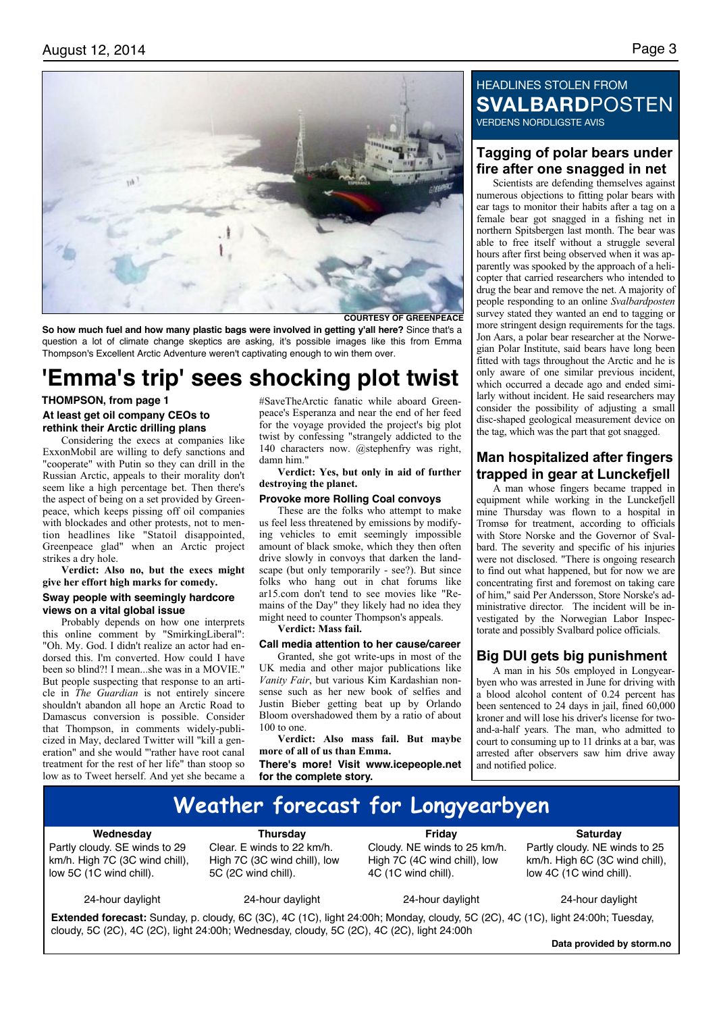

**COURTESY OF GREENPEACE**

**So how much fuel and how many plastic bags were involved in getting y'all here?** Since that's a question a lot of climate change skeptics are asking, it's possible images like this from Emma Thompson's Excellent Arctic Adventure weren't captivating enough to win them over.

# **'Emma's trip' sees shocking plot twist**

#### **THOMPSON, from page 1**

## **At least get oil company CEOs to rethink their Arctic drilling plans**

Considering the execs at companies like ExxonMobil are willing to defy sanctions and "cooperate" with Putin so they can drill in the Russian Arctic, appeals to their morality don't seem like a high percentage bet. Then there's the aspect of being on a set provided by Greenpeace, which keeps pissing off oil companies with blockades and other protests, not to mention headlines like "Statoil disappointed, Greenpeace glad" when an Arctic project strikes a dry hole.

## **Verdict: Also no, but the execs might give her effort high marks for comedy.**

#### **Sway people with seemingly hardcore views on a vital global issue**

Probably depends on how one interprets this online comment by "SmirkingLiberal": "Oh. My. God. I didn't realize an actor had endorsed this. I'm converted. How could I have been so blind?! I mean...she was in a MOVIE." But people suspecting that response to an article in *The Guardian* is not entirely sincere shouldn't abandon all hope an Arctic Road to Damascus conversion is possible. Consider that Thompson, in comments widely-publicized in May, declared Twitter will "kill a generation" and she would "'rather have root canal treatment for the rest of her life" than stoop so low as to Tweet herself. And yet she became a

#SaveTheArctic fanatic while aboard Greenpeace's Esperanza and near the end of her feed for the voyage provided the project's big plot twist by confessing "strangely addicted to the 140 characters now. @stephenfry was right, damn him."

**Verdict: Yes, but only in aid of further destroying the planet.**

#### **Provoke more Rolling Coal convoys**

These are the folks who attempt to make us feel less threatened by emissions by modifying vehicles to emit seemingly impossible amount of black smoke, which they then often drive slowly in convoys that darken the landscape (but only temporarily - see?). But since folks who hang out in chat forums like ar15.com don't tend to see movies like "Remains of the Day" they likely had no idea they might need to counter Thompson's appeals.

**Verdict: Mass fail.**

## **Call media attention to her cause/career**

Granted, she got write-ups in most of the UK media and other major publications like *Vanity Fair*, but various Kim Kardashian nonsense such as her new book of selfies and Justin Bieber getting beat up by Orlando Bloom overshadowed them by a ratio of about 100 to one.

**Verdict: Also mass fail. But maybe more of all of us than Emma.**

**There's more! Visit www.icepeople.net for the complete story.**

# HEADLINES STOLEN FROM **SVALBARD**POSTEN VERDENS NORDLIGSTE AVIS

# **Tagging of polar bears under fire after one snagged in net**

Scientists are defending themselves against numerous objections to fitting polar bears with ear tags to monitor their habits after a tag on a female bear got snagged in a fishing net in northern Spitsbergen last month. The bear was able to free itself without a struggle several hours after first being observed when it was apparently was spooked by the approach of a helicopter that carried researchers who intended to drug the bear and remove the net. A majority of people responding to an online *Svalbardposten*  survey stated they wanted an end to tagging or more stringent design requirements for the tags. Jon Aars, a polar bear researcher at the Norwegian Polar Institute, said bears have long been fitted with tags throughout the Arctic and he is only aware of one similar previous incident, which occurred a decade ago and ended similarly without incident. He said researchers may consider the possibility of adjusting a small disc-shaped geological measurement device on the tag, which was the part that got snagged.

# **Man hospitalized after fingers trapped in gear at Lunckefjell**

A man whose fingers became trapped in equipment while working in the Lunckefjell mine Thursday was flown to a hospital in Tromsø for treatment, according to officials with Store Norske and the Governor of Svalbard. The severity and specific of his injuries were not disclosed. "There is ongoing research to find out what happened, but for now we are concentrating first and foremost on taking care of him," said Per Andersson, Store Norske's administrative director. The incident will be investigated by the Norwegian Labor Inspectorate and possibly Svalbard police officials.

# **Big DUI gets big punishment**

A man in his 50s employed in Longyearbyen who was arrested in June for driving with a blood alcohol content of 0.24 percent has been sentenced to 24 days in jail, fined 60,000 kroner and will lose his driver's license for twoand-a-half years. The man, who admitted to court to consuming up to 11 drinks at a bar, was arrested after observers saw him drive away and notified police.

# **Weather forecast for Longyearbyen**

#### **Wednesday**

Partly cloudy. SE winds to 29 km/h. High 7C (3C wind chill), low 5C (1C wind chill).

**Thursday**

Clear. E winds to 22 km/h. High 7C (3C wind chill), low 5C (2C wind chill).

**Friday** Cloudy. NE winds to 25 km/h. High 7C (4C wind chill), low 4C (1C wind chill).

**Saturday** Partly cloudy. NE winds to 25 km/h. High 6C (3C wind chill), low 4C (1C wind chill).

24-hour daylight

24-hour daylight

24-hour daylight

24-hour daylight

**Extended forecast:** Sunday, p. cloudy, 6C (3C), 4C (1C), light 24:00h; Monday, cloudy, 5C (2C), 4C (1C), light 24:00h; Tuesday, cloudy, 5C (2C), 4C (2C), light 24:00h; Wednesday, cloudy, 5C (2C), 4C (2C), light 24:00h

**Data provided by storm.no**